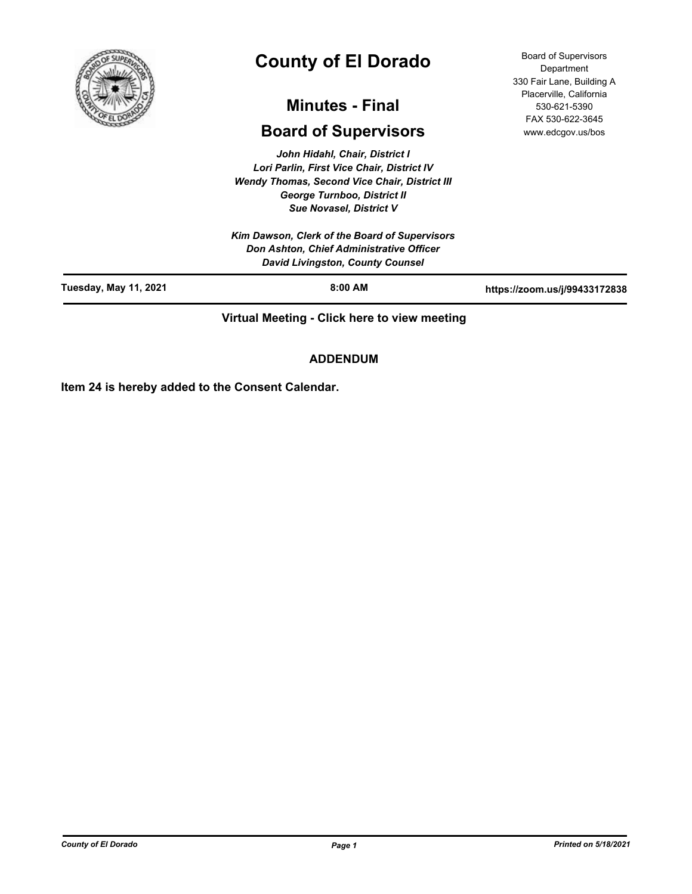

# **County of El Dorado**

## **Minutes - Final**

## **Board of Supervisors**

*John Hidahl, Chair, District I Lori Parlin, First Vice Chair, District IV Wendy Thomas, Second Vice Chair, District III George Turnboo, District II Sue Novasel, District V*

*Kim Dawson, Clerk of the Board of Supervisors Don Ashton, Chief Administrative Officer David Livingston, County Counsel*

Board of Supervisors **Department** 330 Fair Lane, Building A Placerville, California 530-621-5390 FAX 530-622-3645 www.edcgov.us/bos

| Tuesday, May 11, 2021 | $8:00$ AM | https://zoom.us/j/99433172838 |
|-----------------------|-----------|-------------------------------|
|                       | -----     |                               |

**Virtual Meeting - Click here to view meeting**

## **ADDENDUM**

**Item 24 is hereby added to the Consent Calendar.**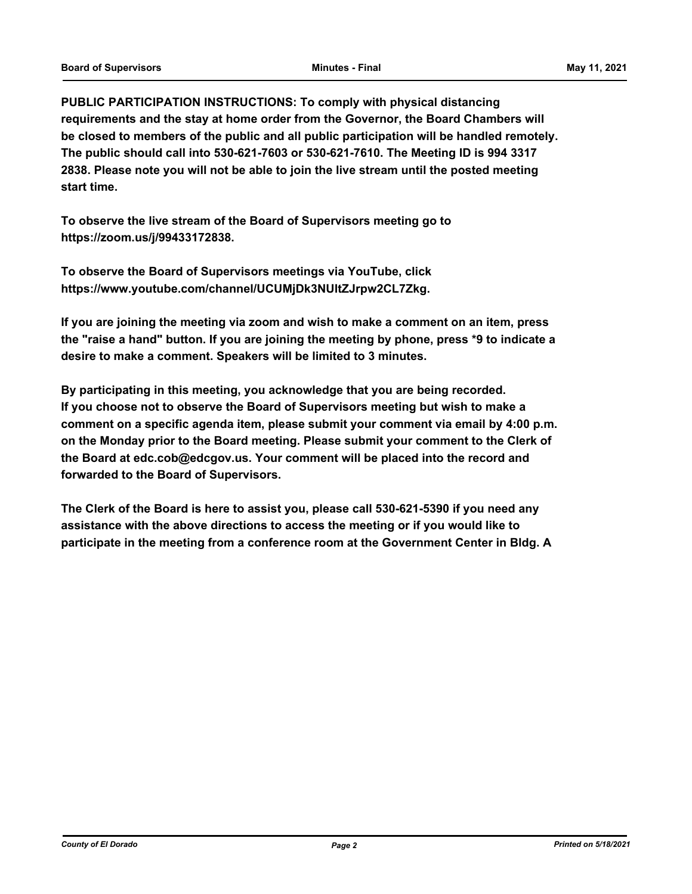**PUBLIC PARTICIPATION INSTRUCTIONS: To comply with physical distancing requirements and the stay at home order from the Governor, the Board Chambers will be closed to members of the public and all public participation will be handled remotely. The public should call into 530-621-7603 or 530-621-7610. The Meeting ID is 994 3317 2838. Please note you will not be able to join the live stream until the posted meeting start time.**

**To observe the live stream of the Board of Supervisors meeting go to https://zoom.us/j/99433172838.**

**To observe the Board of Supervisors meetings via YouTube, click https://www.youtube.com/channel/UCUMjDk3NUltZJrpw2CL7Zkg.**

**If you are joining the meeting via zoom and wish to make a comment on an item, press the "raise a hand" button. If you are joining the meeting by phone, press \*9 to indicate a desire to make a comment. Speakers will be limited to 3 minutes.**

**By participating in this meeting, you acknowledge that you are being recorded. If you choose not to observe the Board of Supervisors meeting but wish to make a comment on a specific agenda item, please submit your comment via email by 4:00 p.m. on the Monday prior to the Board meeting. Please submit your comment to the Clerk of the Board at edc.cob@edcgov.us. Your comment will be placed into the record and forwarded to the Board of Supervisors.**

**The Clerk of the Board is here to assist you, please call 530-621-5390 if you need any assistance with the above directions to access the meeting or if you would like to participate in the meeting from a conference room at the Government Center in Bldg. A**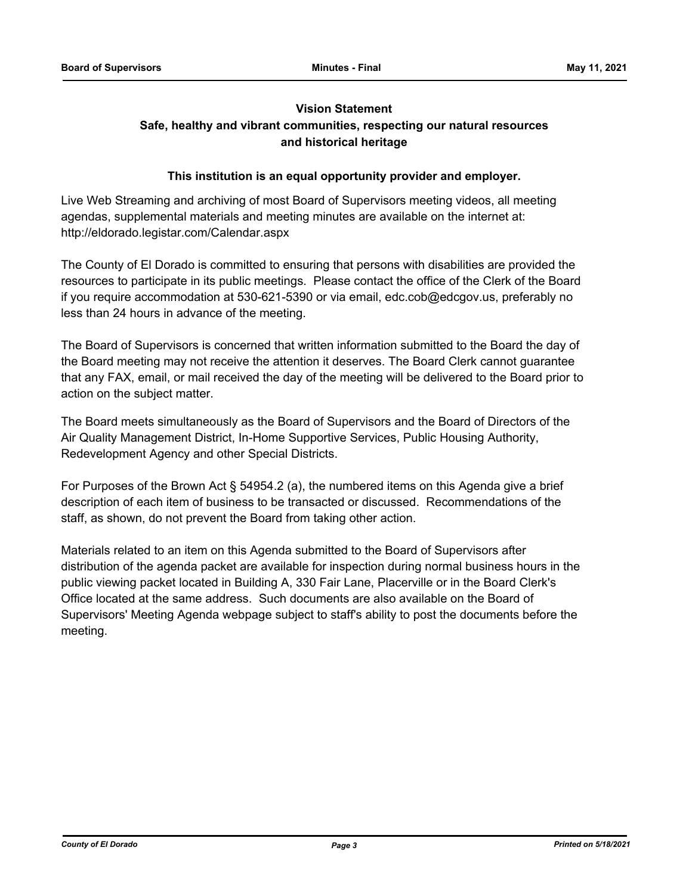## **Vision Statement**

## **Safe, healthy and vibrant communities, respecting our natural resources and historical heritage**

#### **This institution is an equal opportunity provider and employer.**

Live Web Streaming and archiving of most Board of Supervisors meeting videos, all meeting agendas, supplemental materials and meeting minutes are available on the internet at: http://eldorado.legistar.com/Calendar.aspx

The County of El Dorado is committed to ensuring that persons with disabilities are provided the resources to participate in its public meetings. Please contact the office of the Clerk of the Board if you require accommodation at 530-621-5390 or via email, edc.cob@edcgov.us, preferably no less than 24 hours in advance of the meeting.

The Board of Supervisors is concerned that written information submitted to the Board the day of the Board meeting may not receive the attention it deserves. The Board Clerk cannot guarantee that any FAX, email, or mail received the day of the meeting will be delivered to the Board prior to action on the subject matter.

The Board meets simultaneously as the Board of Supervisors and the Board of Directors of the Air Quality Management District, In-Home Supportive Services, Public Housing Authority, Redevelopment Agency and other Special Districts.

For Purposes of the Brown Act § 54954.2 (a), the numbered items on this Agenda give a brief description of each item of business to be transacted or discussed. Recommendations of the staff, as shown, do not prevent the Board from taking other action.

Materials related to an item on this Agenda submitted to the Board of Supervisors after distribution of the agenda packet are available for inspection during normal business hours in the public viewing packet located in Building A, 330 Fair Lane, Placerville or in the Board Clerk's Office located at the same address. Such documents are also available on the Board of Supervisors' Meeting Agenda webpage subject to staff's ability to post the documents before the meeting.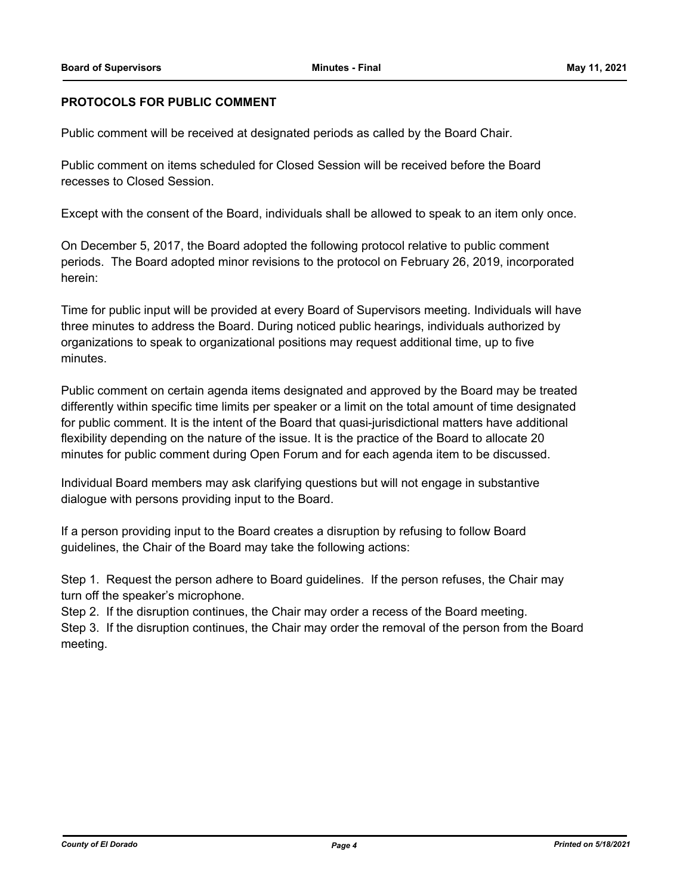#### **PROTOCOLS FOR PUBLIC COMMENT**

Public comment will be received at designated periods as called by the Board Chair.

Public comment on items scheduled for Closed Session will be received before the Board recesses to Closed Session.

Except with the consent of the Board, individuals shall be allowed to speak to an item only once.

On December 5, 2017, the Board adopted the following protocol relative to public comment periods. The Board adopted minor revisions to the protocol on February 26, 2019, incorporated herein:

Time for public input will be provided at every Board of Supervisors meeting. Individuals will have three minutes to address the Board. During noticed public hearings, individuals authorized by organizations to speak to organizational positions may request additional time, up to five minutes.

Public comment on certain agenda items designated and approved by the Board may be treated differently within specific time limits per speaker or a limit on the total amount of time designated for public comment. It is the intent of the Board that quasi-jurisdictional matters have additional flexibility depending on the nature of the issue. It is the practice of the Board to allocate 20 minutes for public comment during Open Forum and for each agenda item to be discussed.

Individual Board members may ask clarifying questions but will not engage in substantive dialogue with persons providing input to the Board.

If a person providing input to the Board creates a disruption by refusing to follow Board guidelines, the Chair of the Board may take the following actions:

Step 1. Request the person adhere to Board guidelines. If the person refuses, the Chair may turn off the speaker's microphone.

Step 2. If the disruption continues, the Chair may order a recess of the Board meeting.

Step 3. If the disruption continues, the Chair may order the removal of the person from the Board meeting.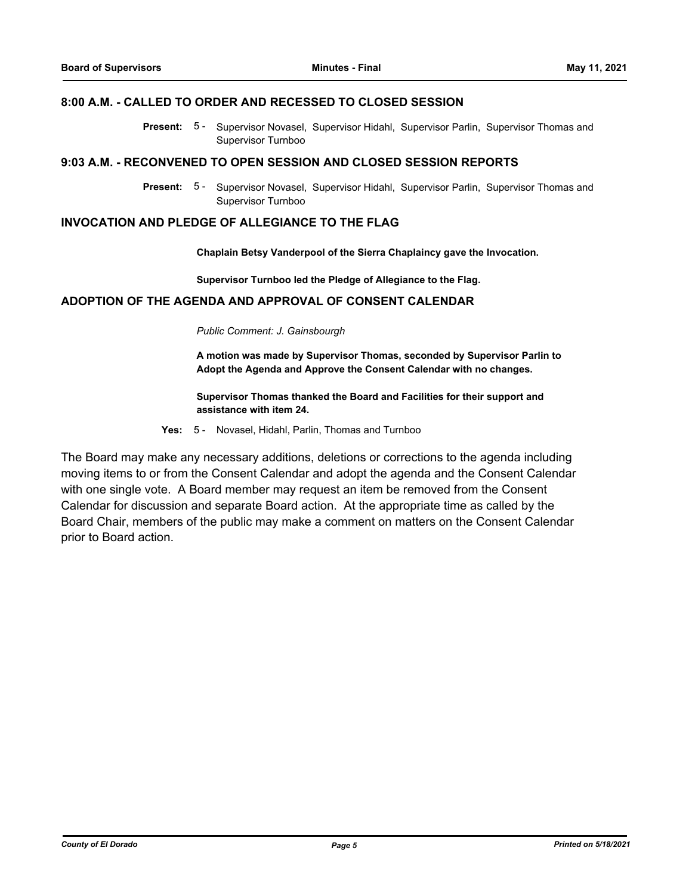#### **8:00 A.M. - CALLED TO ORDER AND RECESSED TO CLOSED SESSION**

Present: 5- Supervisor Novasel, Supervisor Hidahl, Supervisor Parlin, Supervisor Thomas and Supervisor Turnboo

#### **9:03 A.M. - RECONVENED TO OPEN SESSION AND CLOSED SESSION REPORTS**

Present: 5 - Supervisor Novasel, Supervisor Hidahl, Supervisor Parlin, Supervisor Thomas and Supervisor Turnboo

#### **INVOCATION AND PLEDGE OF ALLEGIANCE TO THE FLAG**

**Chaplain Betsy Vanderpool of the Sierra Chaplaincy gave the Invocation.**

**Supervisor Turnboo led the Pledge of Allegiance to the Flag.**

#### **ADOPTION OF THE AGENDA AND APPROVAL OF CONSENT CALENDAR**

*Public Comment: J. Gainsbourgh*

**A motion was made by Supervisor Thomas, seconded by Supervisor Parlin to Adopt the Agenda and Approve the Consent Calendar with no changes.**

#### **Supervisor Thomas thanked the Board and Facilities for their support and assistance with item 24.**

**Yes:** 5 - Novasel, Hidahl, Parlin, Thomas and Turnboo

The Board may make any necessary additions, deletions or corrections to the agenda including moving items to or from the Consent Calendar and adopt the agenda and the Consent Calendar with one single vote. A Board member may request an item be removed from the Consent Calendar for discussion and separate Board action. At the appropriate time as called by the Board Chair, members of the public may make a comment on matters on the Consent Calendar prior to Board action.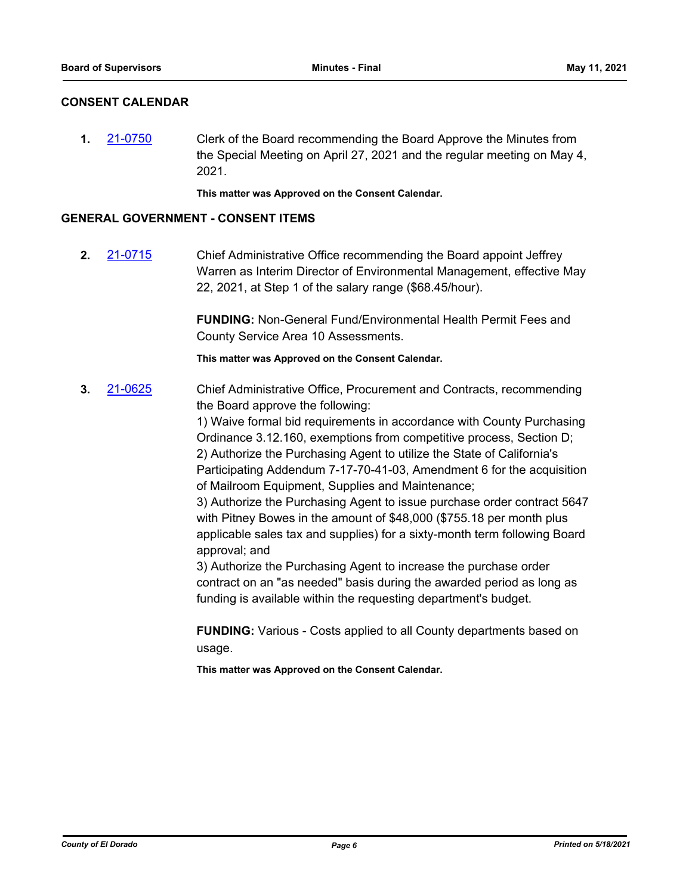#### **CONSENT CALENDAR**

**1.** [21-0750](http://eldorado.legistar.com/gateway.aspx?m=l&id=/matter.aspx?key=29645) Clerk of the Board recommending the Board Approve the Minutes from the Special Meeting on April 27, 2021 and the regular meeting on May 4, 2021.

**This matter was Approved on the Consent Calendar.**

#### **GENERAL GOVERNMENT - CONSENT ITEMS**

**2.** [21-0715](http://eldorado.legistar.com/gateway.aspx?m=l&id=/matter.aspx?key=29611) Chief Administrative Office recommending the Board appoint Jeffrey Warren as Interim Director of Environmental Management, effective May 22, 2021, at Step 1 of the salary range (\$68.45/hour).

> **FUNDING:** Non-General Fund/Environmental Health Permit Fees and County Service Area 10 Assessments.

**This matter was Approved on the Consent Calendar.**

**3.** [21-0625](http://eldorado.legistar.com/gateway.aspx?m=l&id=/matter.aspx?key=29521) Chief Administrative Office, Procurement and Contracts, recommending the Board approve the following:

> 1) Waive formal bid requirements in accordance with County Purchasing Ordinance 3.12.160, exemptions from competitive process, Section D; 2) Authorize the Purchasing Agent to utilize the State of California's Participating Addendum 7-17-70-41-03, Amendment 6 for the acquisition of Mailroom Equipment, Supplies and Maintenance;

> 3) Authorize the Purchasing Agent to issue purchase order contract 5647 with Pitney Bowes in the amount of \$48,000 (\$755.18 per month plus applicable sales tax and supplies) for a sixty-month term following Board approval; and

3) Authorize the Purchasing Agent to increase the purchase order contract on an "as needed" basis during the awarded period as long as funding is available within the requesting department's budget.

**FUNDING:** Various - Costs applied to all County departments based on usage.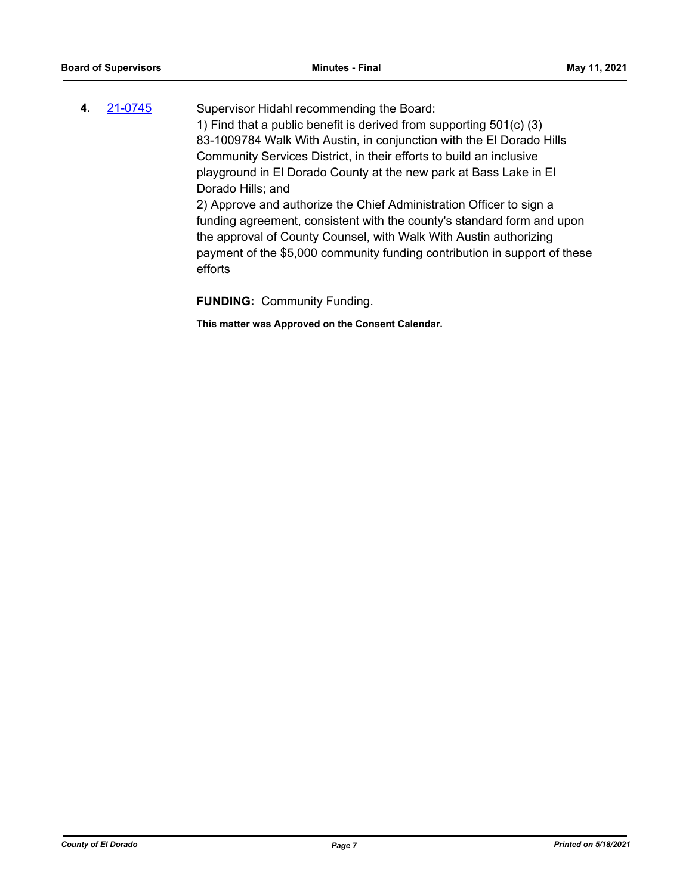| 4. | 21-0745 | Supervisor Hidahl recommending the Board:                                 |
|----|---------|---------------------------------------------------------------------------|
|    |         | 1) Find that a public benefit is derived from supporting 501(c) (3)       |
|    |         | 83-1009784 Walk With Austin, in conjunction with the El Dorado Hills      |
|    |         | Community Services District, in their efforts to build an inclusive       |
|    |         | playground in El Dorado County at the new park at Bass Lake in El         |
|    |         | Dorado Hills; and                                                         |
|    |         | 2) Approve and authorize the Chief Administration Officer to sign a       |
|    |         | funding agreement, consistent with the county's standard form and upon    |
|    |         | the approval of County Counsel, with Walk With Austin authorizing         |
|    |         | payment of the \$5,000 community funding contribution in support of these |
|    |         | efforts                                                                   |

**FUNDING:** Community Funding.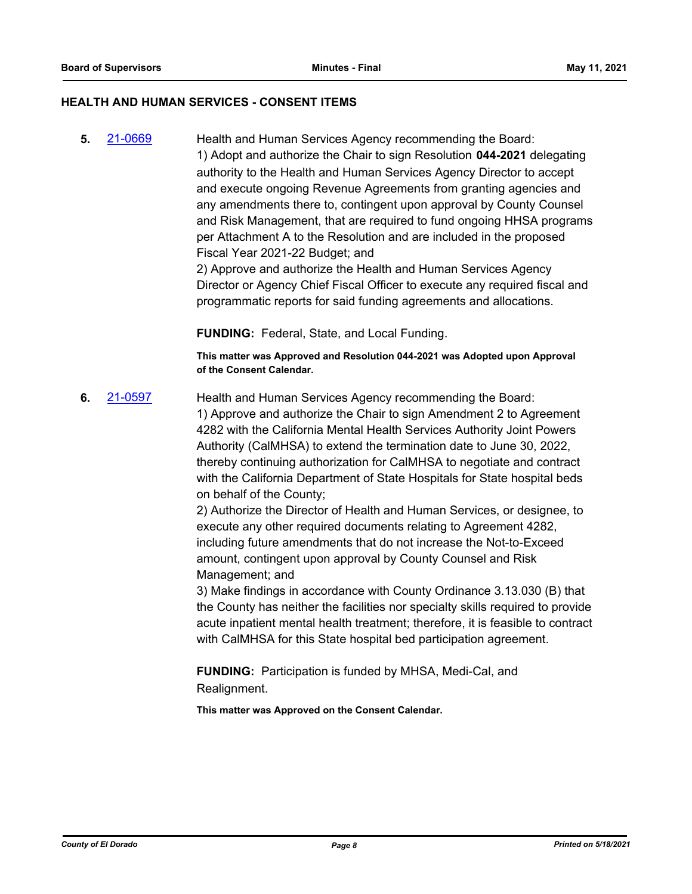#### **HEALTH AND HUMAN SERVICES - CONSENT ITEMS**

**5.** [21-0669](http://eldorado.legistar.com/gateway.aspx?m=l&id=/matter.aspx?key=29565) Health and Human Services Agency recommending the Board: 1) Adopt and authorize the Chair to sign Resolution **044-2021** delegating authority to the Health and Human Services Agency Director to accept and execute ongoing Revenue Agreements from granting agencies and any amendments there to, contingent upon approval by County Counsel and Risk Management, that are required to fund ongoing HHSA programs per Attachment A to the Resolution and are included in the proposed Fiscal Year 2021-22 Budget; and

2) Approve and authorize the Health and Human Services Agency Director or Agency Chief Fiscal Officer to execute any required fiscal and programmatic reports for said funding agreements and allocations.

**FUNDING:** Federal, State, and Local Funding.

**This matter was Approved and Resolution 044-2021 was Adopted upon Approval of the Consent Calendar.**

**6.** [21-0597](http://eldorado.legistar.com/gateway.aspx?m=l&id=/matter.aspx?key=29493) Health and Human Services Agency recommending the Board: 1) Approve and authorize the Chair to sign Amendment 2 to Agreement 4282 with the California Mental Health Services Authority Joint Powers Authority (CalMHSA) to extend the termination date to June 30, 2022, thereby continuing authorization for CalMHSA to negotiate and contract with the California Department of State Hospitals for State hospital beds on behalf of the County;

2) Authorize the Director of Health and Human Services, or designee, to execute any other required documents relating to Agreement 4282, including future amendments that do not increase the Not-to-Exceed amount, contingent upon approval by County Counsel and Risk Management; and

3) Make findings in accordance with County Ordinance 3.13.030 (B) that the County has neither the facilities nor specialty skills required to provide acute inpatient mental health treatment; therefore, it is feasible to contract with CalMHSA for this State hospital bed participation agreement.

**FUNDING:** Participation is funded by MHSA, Medi-Cal, and Realignment.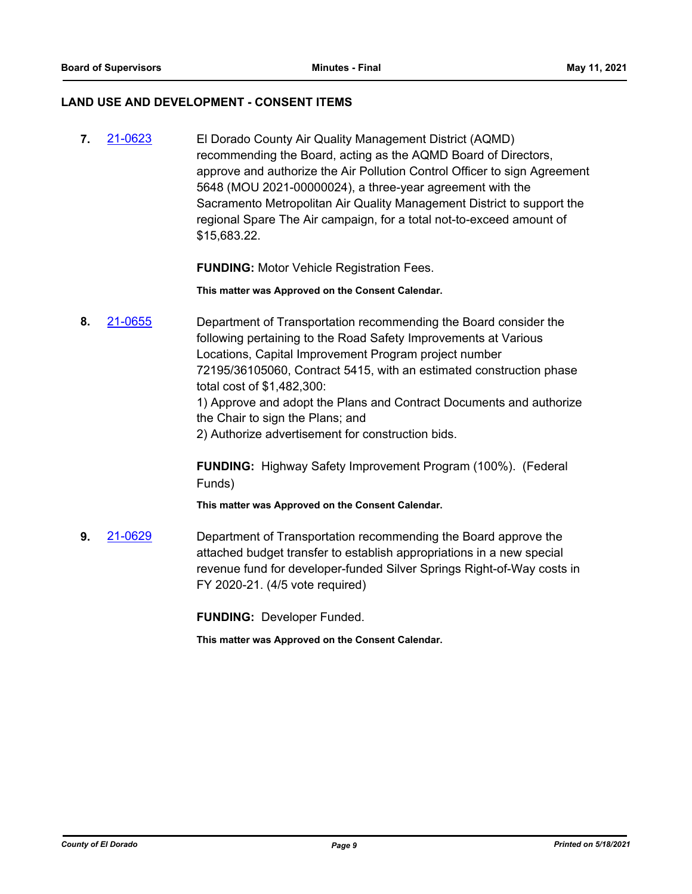#### **LAND USE AND DEVELOPMENT - CONSENT ITEMS**

**7.** [21-0623](http://eldorado.legistar.com/gateway.aspx?m=l&id=/matter.aspx?key=29519) El Dorado County Air Quality Management District (AQMD) recommending the Board, acting as the AQMD Board of Directors, approve and authorize the Air Pollution Control Officer to sign Agreement 5648 (MOU 2021-00000024), a three-year agreement with the Sacramento Metropolitan Air Quality Management District to support the regional Spare The Air campaign, for a total not-to-exceed amount of \$15,683.22.

**FUNDING:** Motor Vehicle Registration Fees.

**This matter was Approved on the Consent Calendar.**

**8.** [21-0655](http://eldorado.legistar.com/gateway.aspx?m=l&id=/matter.aspx?key=29551) Department of Transportation recommending the Board consider the following pertaining to the Road Safety Improvements at Various Locations, Capital Improvement Program project number 72195/36105060, Contract 5415, with an estimated construction phase total cost of \$1,482,300:

1) Approve and adopt the Plans and Contract Documents and authorize the Chair to sign the Plans; and

2) Authorize advertisement for construction bids.

**FUNDING:** Highway Safety Improvement Program (100%). (Federal Funds)

**This matter was Approved on the Consent Calendar.**

**9.** [21-0629](http://eldorado.legistar.com/gateway.aspx?m=l&id=/matter.aspx?key=29525) Department of Transportation recommending the Board approve the attached budget transfer to establish appropriations in a new special revenue fund for developer-funded Silver Springs Right-of-Way costs in FY 2020-21. (4/5 vote required)

**FUNDING:** Developer Funded.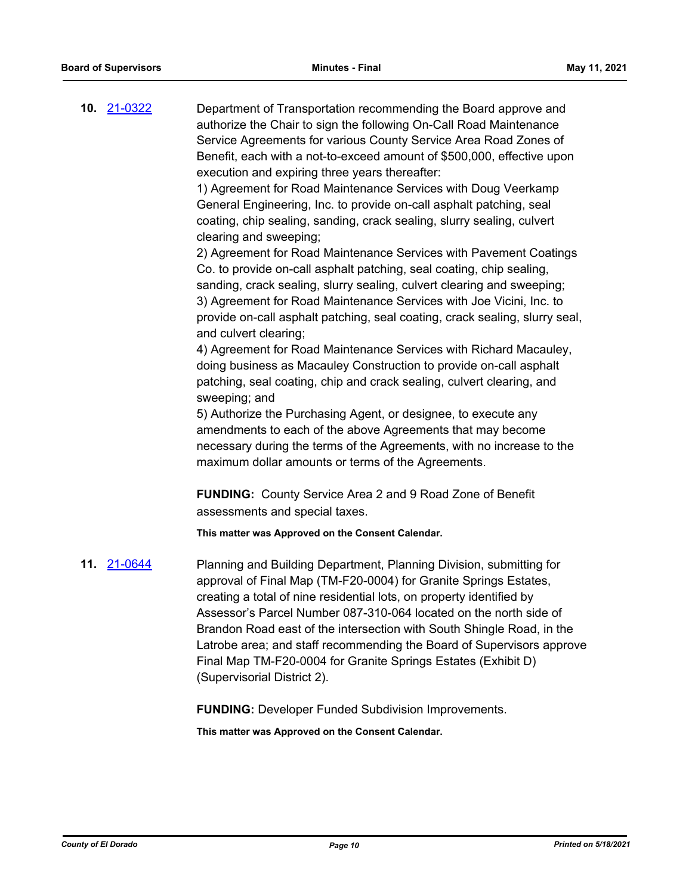**10.** [21-0322](http://eldorado.legistar.com/gateway.aspx?m=l&id=/matter.aspx?key=29218) Department of Transportation recommending the Board approve and authorize the Chair to sign the following On-Call Road Maintenance Service Agreements for various County Service Area Road Zones of Benefit, each with a not-to-exceed amount of \$500,000, effective upon execution and expiring three years thereafter:

> 1) Agreement for Road Maintenance Services with Doug Veerkamp General Engineering, Inc. to provide on-call asphalt patching, seal coating, chip sealing, sanding, crack sealing, slurry sealing, culvert clearing and sweeping;

2) Agreement for Road Maintenance Services with Pavement Coatings Co. to provide on-call asphalt patching, seal coating, chip sealing, sanding, crack sealing, slurry sealing, culvert clearing and sweeping; 3) Agreement for Road Maintenance Services with Joe Vicini, Inc. to provide on-call asphalt patching, seal coating, crack sealing, slurry seal, and culvert clearing;

4) Agreement for Road Maintenance Services with Richard Macauley, doing business as Macauley Construction to provide on-call asphalt patching, seal coating, chip and crack sealing, culvert clearing, and sweeping; and

5) Authorize the Purchasing Agent, or designee, to execute any amendments to each of the above Agreements that may become necessary during the terms of the Agreements, with no increase to the maximum dollar amounts or terms of the Agreements.

**FUNDING:** County Service Area 2 and 9 Road Zone of Benefit assessments and special taxes.

**This matter was Approved on the Consent Calendar.**

**11.** [21-0644](http://eldorado.legistar.com/gateway.aspx?m=l&id=/matter.aspx?key=29540) Planning and Building Department, Planning Division, submitting for approval of Final Map (TM-F20-0004) for Granite Springs Estates, creating a total of nine residential lots, on property identified by Assessor's Parcel Number 087-310-064 located on the north side of Brandon Road east of the intersection with South Shingle Road, in the Latrobe area; and staff recommending the Board of Supervisors approve Final Map TM-F20-0004 for Granite Springs Estates (Exhibit D) (Supervisorial District 2).

**FUNDING:** Developer Funded Subdivision Improvements.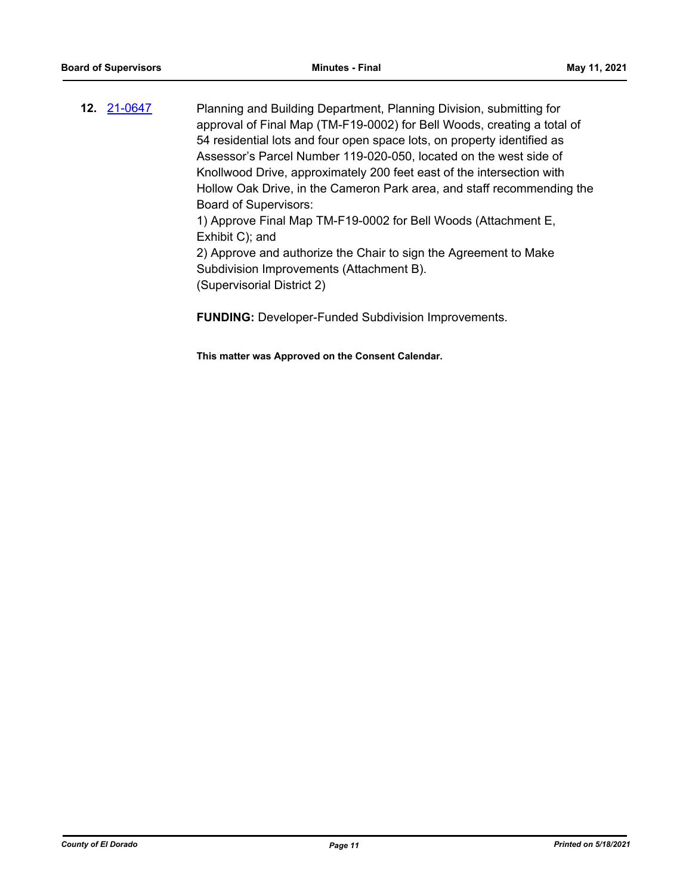**12.** [21-0647](http://eldorado.legistar.com/gateway.aspx?m=l&id=/matter.aspx?key=29543) Planning and Building Department, Planning Division, submitting for approval of Final Map (TM-F19-0002) for Bell Woods, creating a total of 54 residential lots and four open space lots, on property identified as Assessor's Parcel Number 119-020-050, located on the west side of Knollwood Drive, approximately 200 feet east of the intersection with Hollow Oak Drive, in the Cameron Park area, and staff recommending the Board of Supervisors: 1) Approve Final Map TM-F19-0002 for Bell Woods (Attachment E, Exhibit C); and 2) Approve and authorize the Chair to sign the Agreement to Make Subdivision Improvements (Attachment B).

(Supervisorial District 2)

**FUNDING:** Developer-Funded Subdivision Improvements.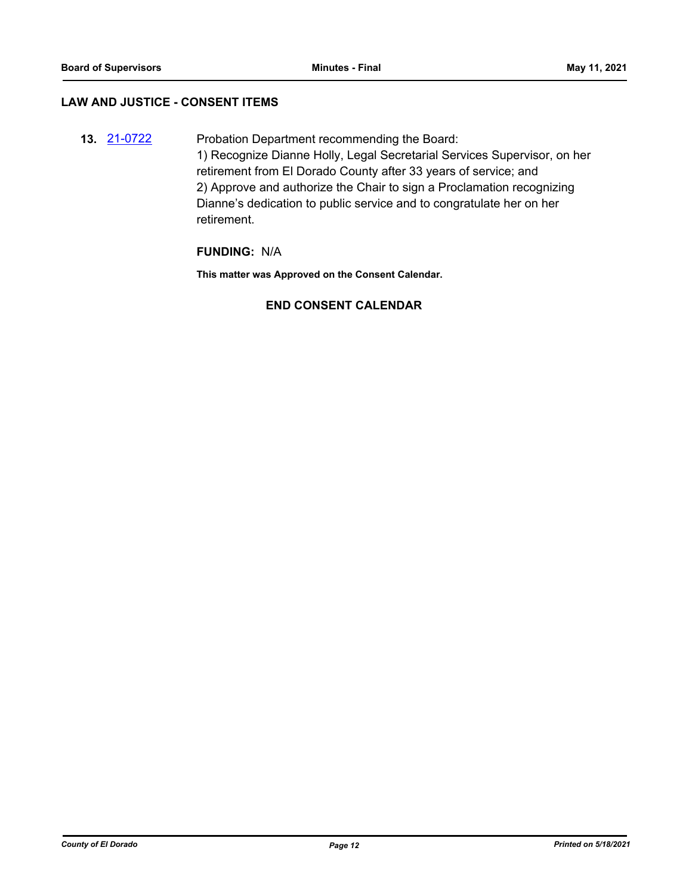#### **LAW AND JUSTICE - CONSENT ITEMS**

**13.** [21-0722](http://eldorado.legistar.com/gateway.aspx?m=l&id=/matter.aspx?key=29617) Probation Department recommending the Board: 1) Recognize Dianne Holly, Legal Secretarial Services Supervisor, on her retirement from El Dorado County after 33 years of service; and 2) Approve and authorize the Chair to sign a Proclamation recognizing Dianne's dedication to public service and to congratulate her on her retirement.

#### **FUNDING:** N/A

**This matter was Approved on the Consent Calendar.**

## **END CONSENT CALENDAR**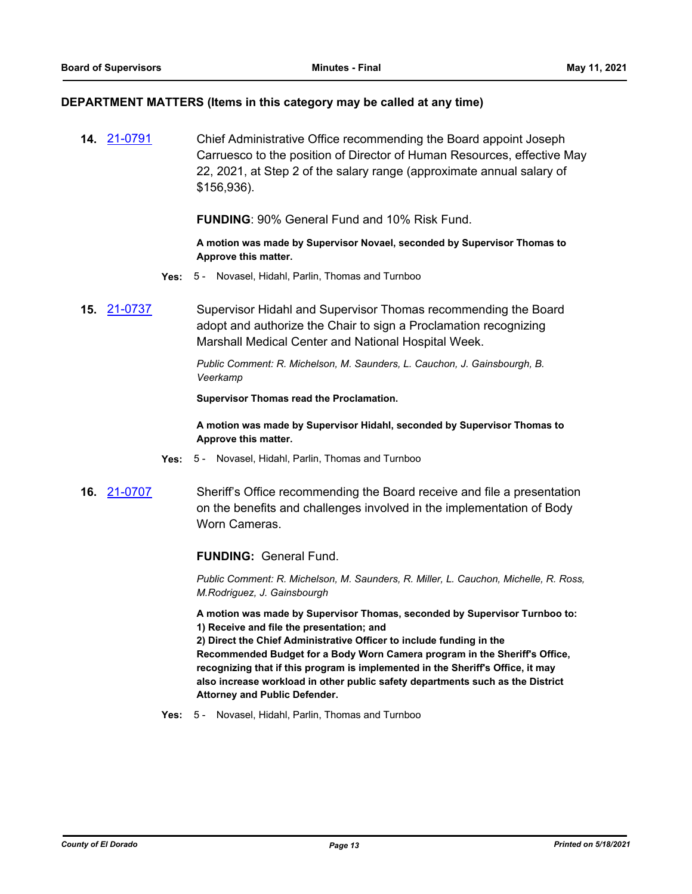#### **DEPARTMENT MATTERS (Items in this category may be called at any time)**

**14.** [21-0791](http://eldorado.legistar.com/gateway.aspx?m=l&id=/matter.aspx?key=29686) Chief Administrative Office recommending the Board appoint Joseph Carruesco to the position of Director of Human Resources, effective May 22, 2021, at Step 2 of the salary range (approximate annual salary of \$156,936).

**FUNDING**: 90% General Fund and 10% Risk Fund.

**A motion was made by Supervisor Novael, seconded by Supervisor Thomas to Approve this matter.**

- **Yes:** 5 Novasel, Hidahl, Parlin, Thomas and Turnboo
- **15.** [21-0737](http://eldorado.legistar.com/gateway.aspx?m=l&id=/matter.aspx?key=29632) Supervisor Hidahl and Supervisor Thomas recommending the Board adopt and authorize the Chair to sign a Proclamation recognizing Marshall Medical Center and National Hospital Week.

*Public Comment: R. Michelson, M. Saunders, L. Cauchon, J. Gainsbourgh, B. Veerkamp*

**Supervisor Thomas read the Proclamation.**

**A motion was made by Supervisor Hidahl, seconded by Supervisor Thomas to Approve this matter.**

- **Yes:** 5 Novasel, Hidahl, Parlin, Thomas and Turnboo
- **16.** [21-0707](http://eldorado.legistar.com/gateway.aspx?m=l&id=/matter.aspx?key=29603) Sheriff's Office recommending the Board receive and file a presentation on the benefits and challenges involved in the implementation of Body Worn Cameras.

**FUNDING:** General Fund.

*Public Comment: R. Michelson, M. Saunders, R. Miller, L. Cauchon, Michelle, R. Ross, M.Rodriguez, J. Gainsbourgh*

**A motion was made by Supervisor Thomas, seconded by Supervisor Turnboo to: 1) Receive and file the presentation; and** 

**2) Direct the Chief Administrative Officer to include funding in the Recommended Budget for a Body Worn Camera program in the Sheriff's Office, recognizing that if this program is implemented in the Sheriff's Office, it may also increase workload in other public safety departments such as the District Attorney and Public Defender.**

**Yes:** 5 - Novasel, Hidahl, Parlin, Thomas and Turnboo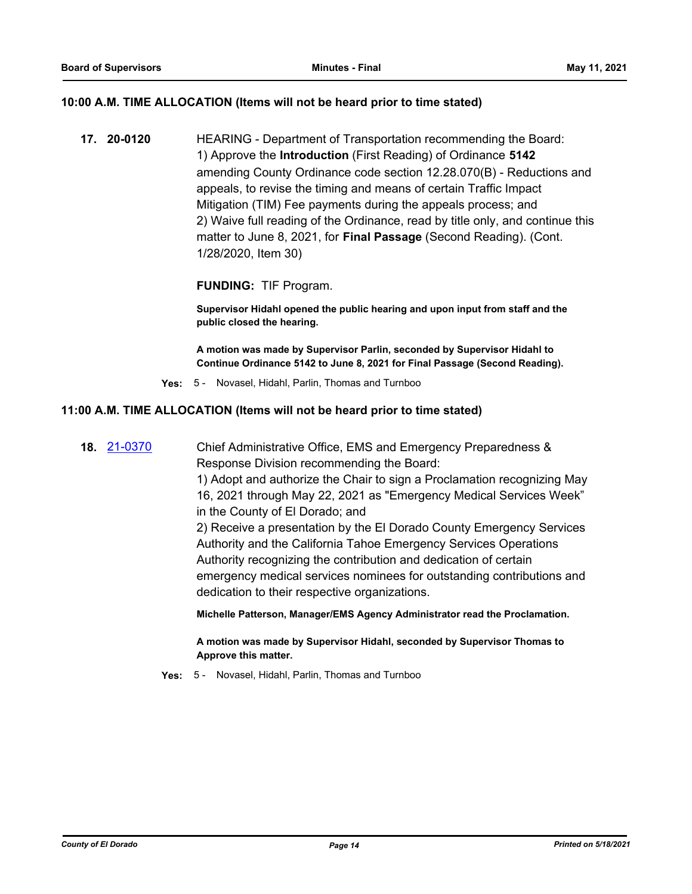#### **10:00 A.M. TIME ALLOCATION (Items will not be heard prior to time stated)**

**17. 20-0120** HEARING - Department of Transportation recommending the Board: 1) Approve the **Introduction** (First Reading) of Ordinance **5142** amending County Ordinance code section 12.28.070(B) - Reductions and appeals, to revise the timing and means of certain Traffic Impact Mitigation (TIM) Fee payments during the appeals process; and 2) Waive full reading of the Ordinance, read by title only, and continue this matter to June 8, 2021, for **Final Passage** (Second Reading). (Cont. 1/28/2020, Item 30)

#### **FUNDING:** TIF Program.

**Supervisor Hidahl opened the public hearing and upon input from staff and the public closed the hearing.**

**A motion was made by Supervisor Parlin, seconded by Supervisor Hidahl to Continue Ordinance 5142 to June 8, 2021 for Final Passage (Second Reading).**

**Yes:** 5 - Novasel, Hidahl, Parlin, Thomas and Turnboo

#### **11:00 A.M. TIME ALLOCATION (Items will not be heard prior to time stated)**

**18.** [21-0370](http://eldorado.legistar.com/gateway.aspx?m=l&id=/matter.aspx?key=29266) Chief Administrative Office, EMS and Emergency Preparedness & Response Division recommending the Board:

> 1) Adopt and authorize the Chair to sign a Proclamation recognizing May 16, 2021 through May 22, 2021 as "Emergency Medical Services Week" in the County of El Dorado; and

> 2) Receive a presentation by the El Dorado County Emergency Services Authority and the California Tahoe Emergency Services Operations Authority recognizing the contribution and dedication of certain emergency medical services nominees for outstanding contributions and dedication to their respective organizations.

**Michelle Patterson, Manager/EMS Agency Administrator read the Proclamation.**

**A motion was made by Supervisor Hidahl, seconded by Supervisor Thomas to Approve this matter.**

**Yes:** 5 - Novasel, Hidahl, Parlin, Thomas and Turnboo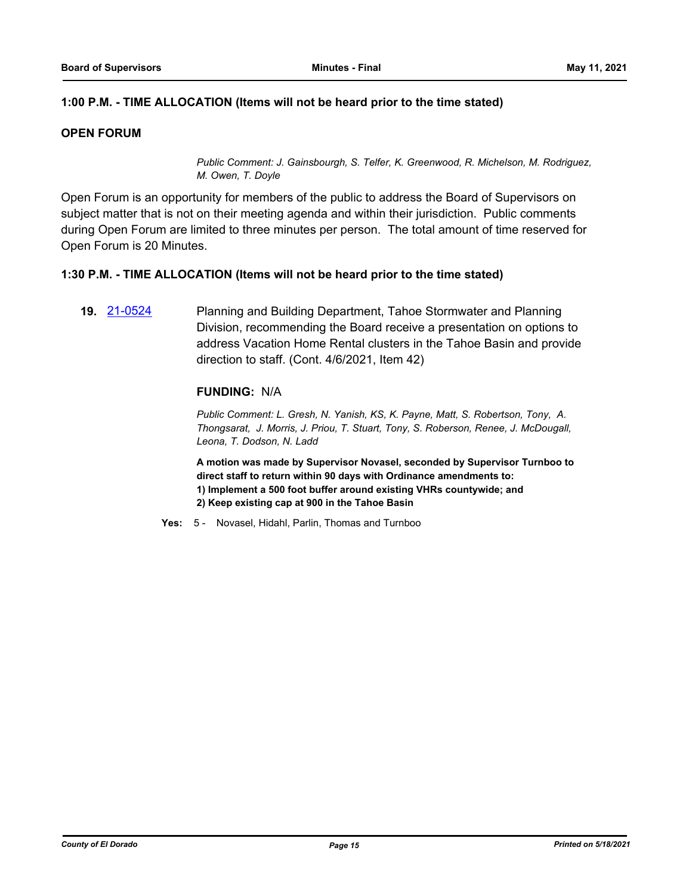### **1:00 P.M. - TIME ALLOCATION (Items will not be heard prior to the time stated)**

#### **OPEN FORUM**

*Public Comment: J. Gainsbourgh, S. Telfer, K. Greenwood, R. Michelson, M. Rodriguez, M. Owen, T. Doyle*

Open Forum is an opportunity for members of the public to address the Board of Supervisors on subject matter that is not on their meeting agenda and within their jurisdiction. Public comments during Open Forum are limited to three minutes per person. The total amount of time reserved for Open Forum is 20 Minutes.

#### **1:30 P.M. - TIME ALLOCATION (Items will not be heard prior to the time stated)**

**19.** [21-0524](http://eldorado.legistar.com/gateway.aspx?m=l&id=/matter.aspx?key=29420) Planning and Building Department, Tahoe Stormwater and Planning Division, recommending the Board receive a presentation on options to address Vacation Home Rental clusters in the Tahoe Basin and provide direction to staff. (Cont. 4/6/2021, Item 42)

#### **FUNDING:** N/A

*Public Comment: L. Gresh, N. Yanish, KS, K. Payne, Matt, S. Robertson, Tony, A. Thongsarat, J. Morris, J. Priou, T. Stuart, Tony, S. Roberson, Renee, J. McDougall, Leona, T. Dodson, N. Ladd*

**A motion was made by Supervisor Novasel, seconded by Supervisor Turnboo to direct staff to return within 90 days with Ordinance amendments to:**

- **1) Implement a 500 foot buffer around existing VHRs countywide; and**
- **2) Keep existing cap at 900 in the Tahoe Basin**

**Yes:** 5 - Novasel, Hidahl, Parlin, Thomas and Turnboo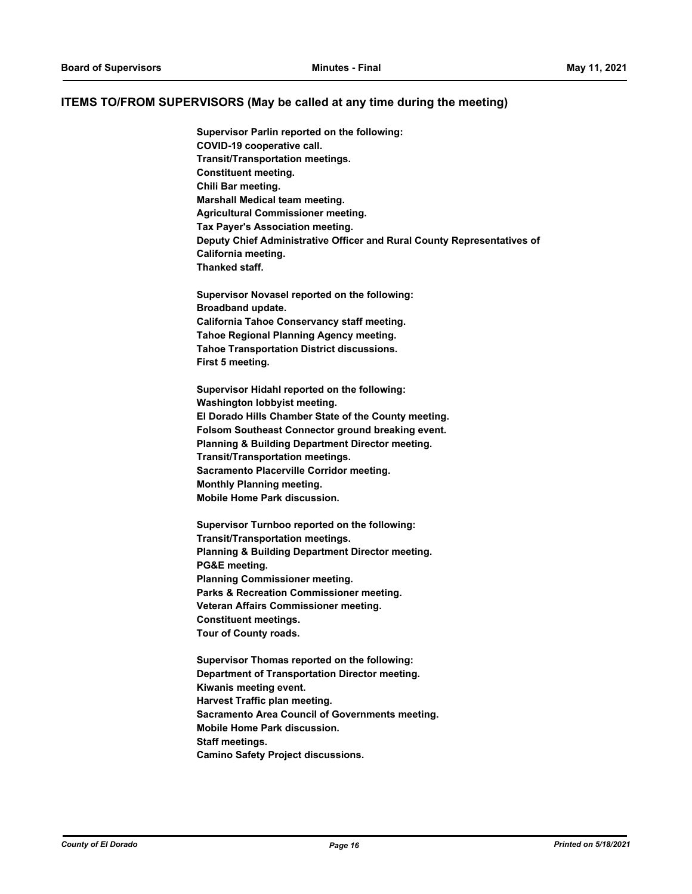#### **ITEMS TO/FROM SUPERVISORS (May be called at any time during the meeting)**

**Supervisor Parlin reported on the following: COVID-19 cooperative call. Transit/Transportation meetings. Constituent meeting. Chili Bar meeting. Marshall Medical team meeting. Agricultural Commissioner meeting. Tax Payer's Association meeting. Deputy Chief Administrative Officer and Rural County Representatives of California meeting. Thanked staff. Supervisor Novasel reported on the following: Broadband update. California Tahoe Conservancy staff meeting. Tahoe Regional Planning Agency meeting. Tahoe Transportation District discussions. First 5 meeting. Supervisor Hidahl reported on the following: Washington lobbyist meeting. El Dorado Hills Chamber State of the County meeting.**

**Folsom Southeast Connector ground breaking event. Planning & Building Department Director meeting. Transit/Transportation meetings. Sacramento Placerville Corridor meeting. Monthly Planning meeting.**

**Mobile Home Park discussion. Supervisor Turnboo reported on the following: Transit/Transportation meetings. Planning & Building Department Director meeting. PG&E meeting. Planning Commissioner meeting.**

**Parks & Recreation Commissioner meeting. Veteran Affairs Commissioner meeting. Constituent meetings. Tour of County roads.**

**Supervisor Thomas reported on the following: Department of Transportation Director meeting. Kiwanis meeting event. Harvest Traffic plan meeting. Sacramento Area Council of Governments meeting. Mobile Home Park discussion. Staff meetings. Camino Safety Project discussions.**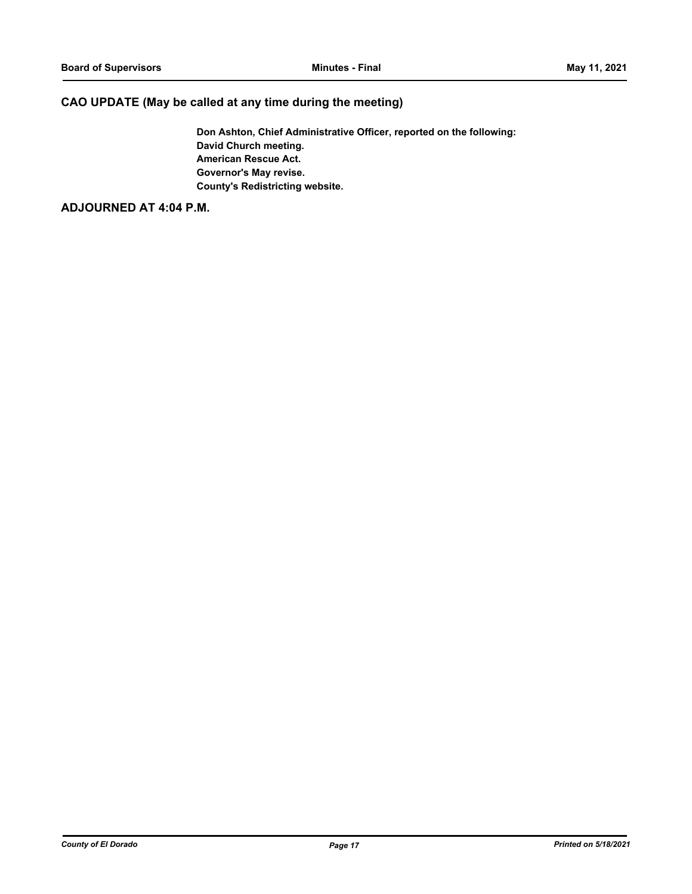## **CAO UPDATE (May be called at any time during the meeting)**

**Don Ashton, Chief Administrative Officer, reported on the following: David Church meeting. American Rescue Act. Governor's May revise. County's Redistricting website.**

## **ADJOURNED AT 4:04 P.M.**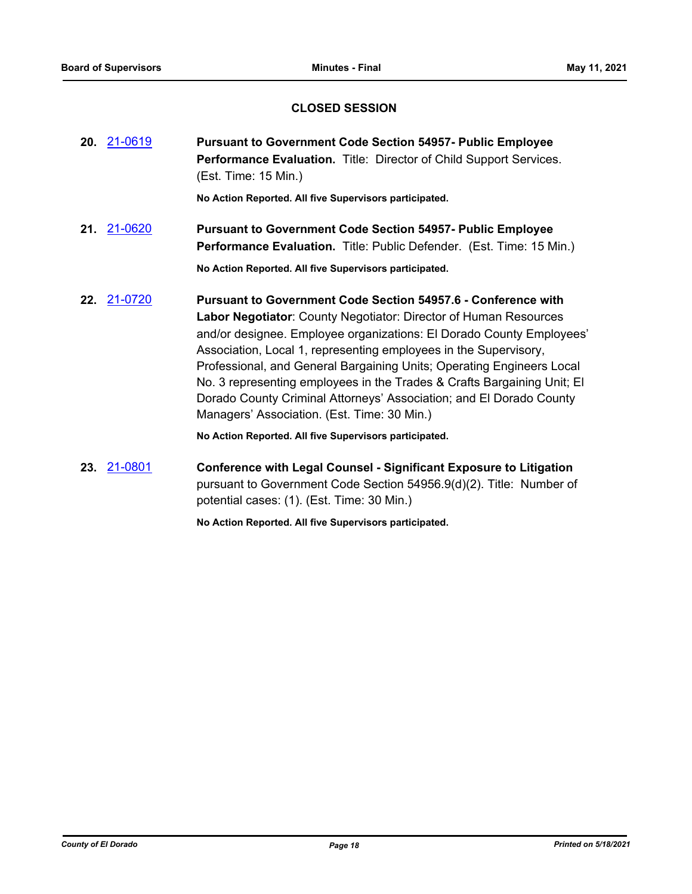## **CLOSED SESSION**

| 20. 21-0619 | <b>Pursuant to Government Code Section 54957- Public Employee</b><br>Performance Evaluation. Title: Director of Child Support Services.<br>(Est. Time: 15 Min.)                                                                                                                                                                                                                                                                                                                                                                                                |  |
|-------------|----------------------------------------------------------------------------------------------------------------------------------------------------------------------------------------------------------------------------------------------------------------------------------------------------------------------------------------------------------------------------------------------------------------------------------------------------------------------------------------------------------------------------------------------------------------|--|
|             | No Action Reported. All five Supervisors participated.                                                                                                                                                                                                                                                                                                                                                                                                                                                                                                         |  |
| 21. 21-0620 | <b>Pursuant to Government Code Section 54957- Public Employee</b><br>Performance Evaluation. Title: Public Defender. (Est. Time: 15 Min.)<br>No Action Reported. All five Supervisors participated.                                                                                                                                                                                                                                                                                                                                                            |  |
| 22. 21-0720 | <b>Pursuant to Government Code Section 54957.6 - Conference with</b><br>Labor Negotiator: County Negotiator: Director of Human Resources<br>and/or designee. Employee organizations: El Dorado County Employees'<br>Association, Local 1, representing employees in the Supervisory,<br>Professional, and General Bargaining Units; Operating Engineers Local<br>No. 3 representing employees in the Trades & Crafts Bargaining Unit; El<br>Dorado County Criminal Attorneys' Association; and El Dorado County<br>Managers' Association. (Est. Time: 30 Min.) |  |
|             | No Action Reported. All five Supervisors participated.                                                                                                                                                                                                                                                                                                                                                                                                                                                                                                         |  |
| 23. 21-0801 | <b>Conference with Legal Counsel - Significant Exposure to Litigation</b><br>pursuant to Government Code Section 54956.9(d)(2). Title: Number of                                                                                                                                                                                                                                                                                                                                                                                                               |  |

potential cases: (1). (Est. Time: 30 Min.)

**No Action Reported. All five Supervisors participated.**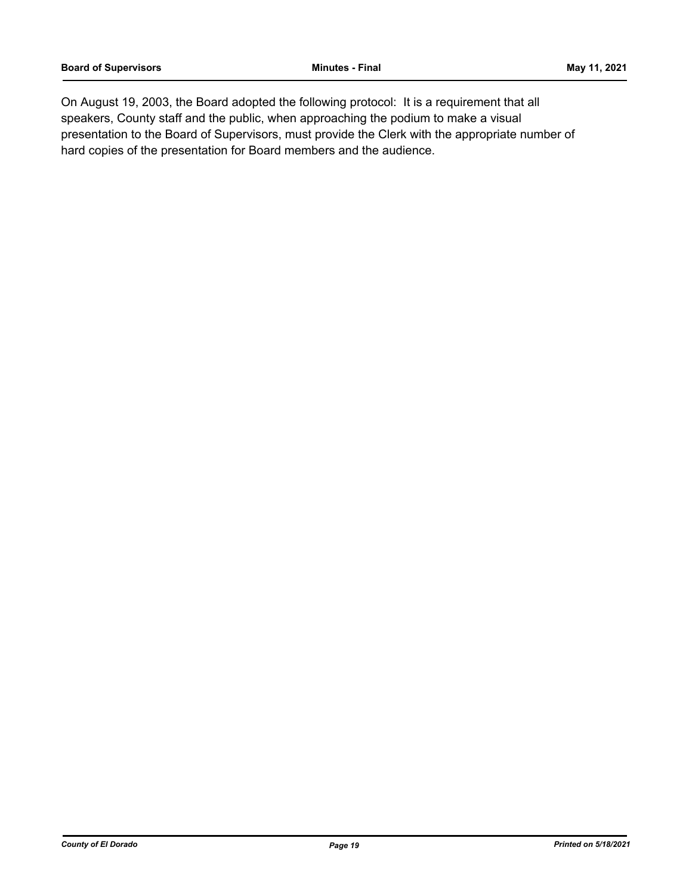On August 19, 2003, the Board adopted the following protocol: It is a requirement that all speakers, County staff and the public, when approaching the podium to make a visual presentation to the Board of Supervisors, must provide the Clerk with the appropriate number of hard copies of the presentation for Board members and the audience.